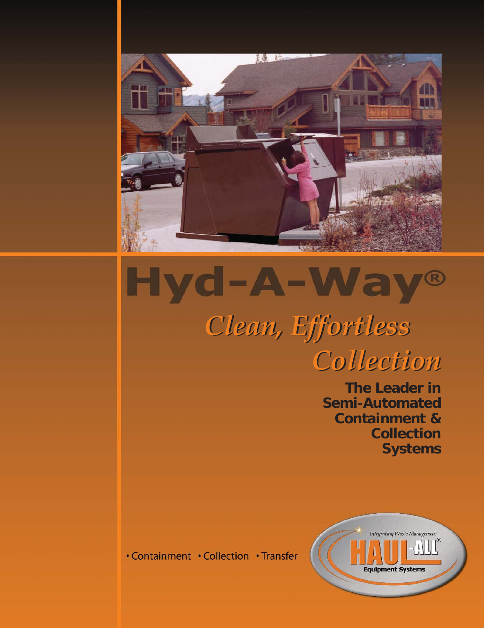

## Hyd-A-Way R

*Clean, Effortless Clean, Effortless Collection Collection*

> **The Leader in Semi-Automated Containment & Collection Systems**